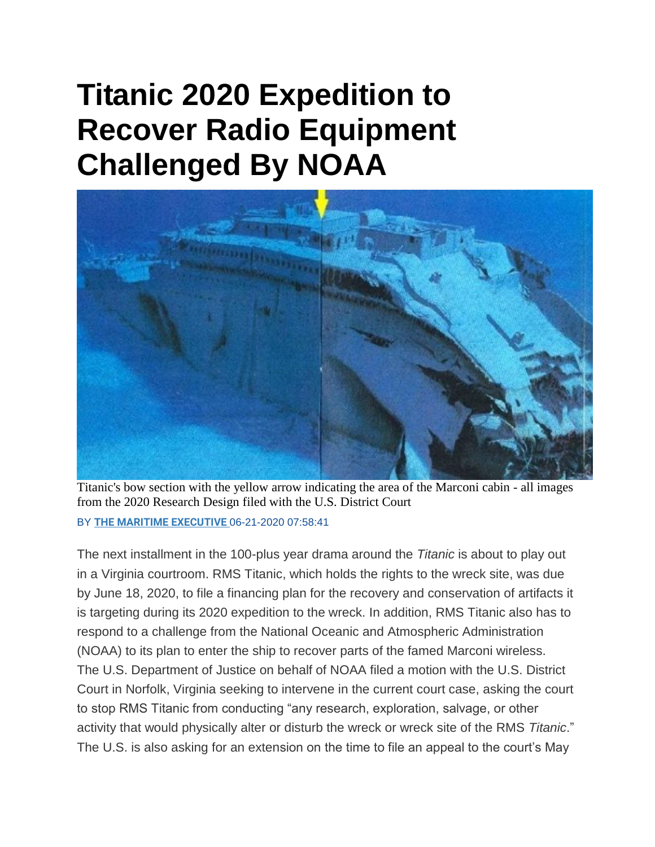## **Titanic 2020 Expedition to Recover Radio Equipment Challenged By NOAA**



Titanic's bow section with the yellow arrow indicating the area of the Marconi cabin - all images from the 2020 Research Design filed with the U.S. District Court

BY **[THE MARITIME EXECUTIVE](https://www.maritime-executive.com/author/marex)** 06-21-2020 07:58:41

The next installment in the 100-plus year drama around the *Titanic* is about to play out in a Virginia courtroom. RMS Titanic, which holds the rights to the wreck site, was due by June 18, 2020, to file a financing plan for the recovery and conservation of artifacts it is targeting during its 2020 expedition to the wreck. In addition, RMS Titanic also has to respond to a challenge from the National Oceanic and Atmospheric Administration (NOAA) to its plan to enter the ship to recover parts of the famed Marconi wireless. The U.S. Department of Justice on behalf of NOAA filed a motion with the U.S. District Court in Norfolk, Virginia seeking to intervene in the current court case, asking the court to stop RMS Titanic from conducting "any research, exploration, salvage, or other activity that would physically alter or disturb the wreck or wreck site of the RMS *Titanic*." The U.S. is also asking for an extension on the time to file an appeal to the court's May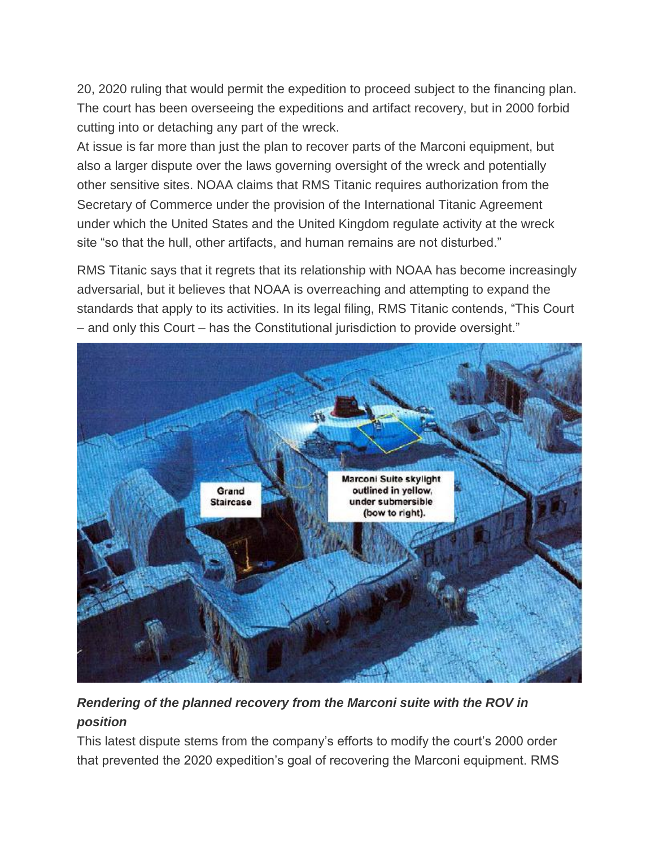20, 2020 ruling that would permit the expedition to proceed subject to the financing plan. The court has been overseeing the expeditions and artifact recovery, but in 2000 forbid cutting into or detaching any part of the wreck.

At issue is far more than just the plan to recover parts of the Marconi equipment, but also a larger dispute over the laws governing oversight of the wreck and potentially other sensitive sites. NOAA claims that RMS Titanic requires authorization from the Secretary of Commerce under the provision of the International Titanic Agreement under which the United States and the United Kingdom regulate activity at the wreck site "so that the hull, other artifacts, and human remains are not disturbed."

RMS Titanic says that it regrets that its relationship with NOAA has become increasingly adversarial, but it believes that NOAA is overreaching and attempting to expand the standards that apply to its activities. In its legal filing, RMS Titanic contends, "This Court – and only this Court – has the Constitutional jurisdiction to provide oversight."



## *Rendering of the planned recovery from the Marconi suite with the ROV in position*

This latest dispute stems from the company's efforts to modify the court's 2000 order that prevented the 2020 expedition's goal of recovering the Marconi equipment. RMS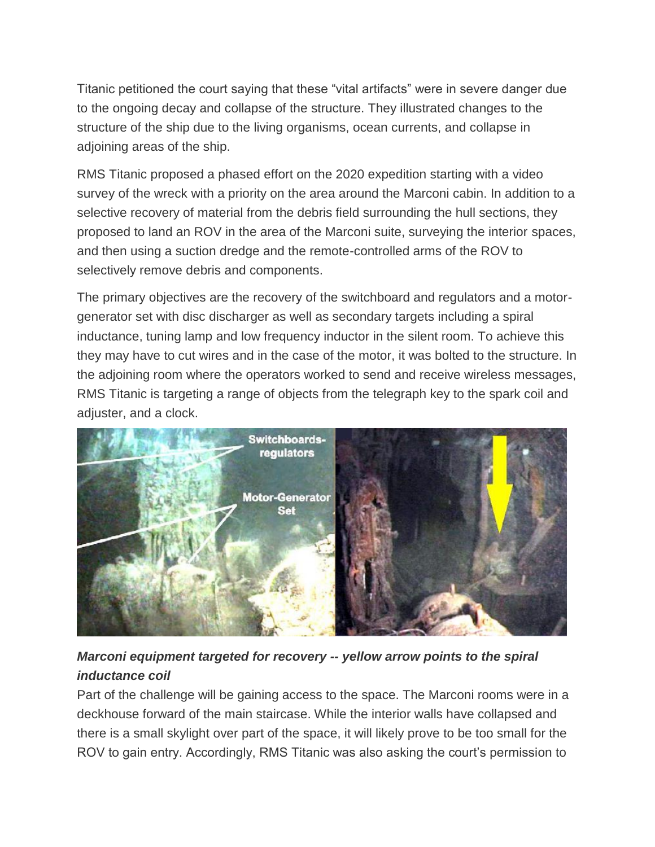Titanic petitioned the court saying that these "vital artifacts" were in severe danger due to the ongoing decay and collapse of the structure. They illustrated changes to the structure of the ship due to the living organisms, ocean currents, and collapse in adjoining areas of the ship.

RMS Titanic proposed a phased effort on the 2020 expedition starting with a video survey of the wreck with a priority on the area around the Marconi cabin. In addition to a selective recovery of material from the debris field surrounding the hull sections, they proposed to land an ROV in the area of the Marconi suite, surveying the interior spaces, and then using a suction dredge and the remote-controlled arms of the ROV to selectively remove debris and components.

The primary objectives are the recovery of the switchboard and regulators and a motorgenerator set with disc discharger as well as secondary targets including a spiral inductance, tuning lamp and low frequency inductor in the silent room. To achieve this they may have to cut wires and in the case of the motor, it was bolted to the structure. In the adjoining room where the operators worked to send and receive wireless messages, RMS Titanic is targeting a range of objects from the telegraph key to the spark coil and adjuster, and a clock.



## *Marconi equipment targeted for recovery -- yellow arrow points to the spiral inductance coil*

Part of the challenge will be gaining access to the space. The Marconi rooms were in a deckhouse forward of the main staircase. While the interior walls have collapsed and there is a small skylight over part of the space, it will likely prove to be too small for the ROV to gain entry. Accordingly, RMS Titanic was also asking the court's permission to